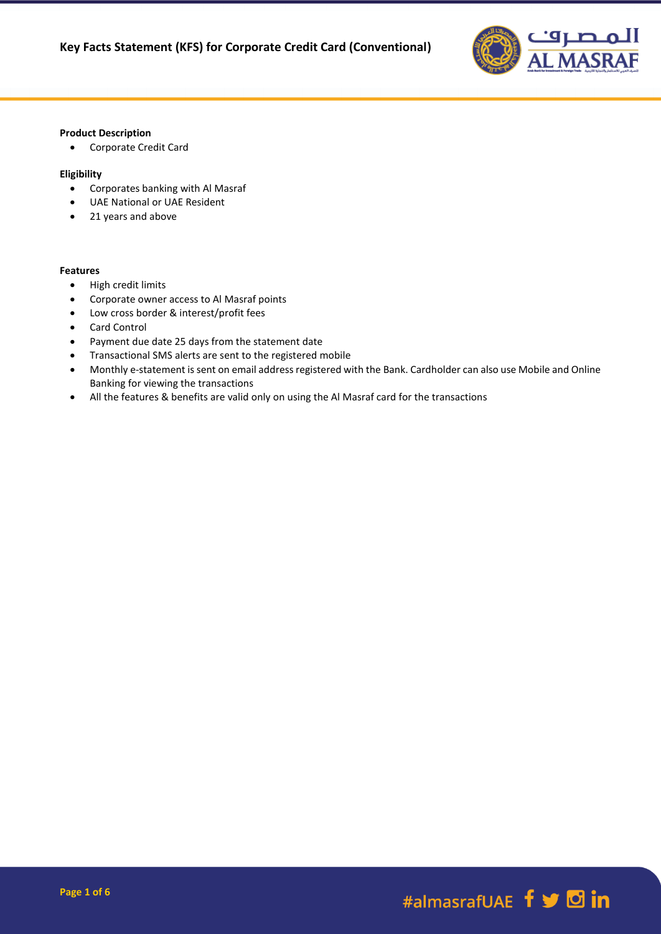

### **Product Description**

Corporate Credit Card

### **Eligibility**

- Corporates banking with Al Masraf
- UAE National or UAE Resident
- 21 years and above

#### **Features**

- High credit limits
- Corporate owner access to Al Masraf points
- Low cross border & interest/profit fees
- Card Control
- Payment due date 25 days from the statement date
- Transactional SMS alerts are sent to the registered mobile
- Monthly e-statement is sent on email address registered with the Bank. Cardholder can also use Mobile and Online Banking for viewing the transactions
- All the features & benefits are valid only on using the Al Masraf card for the transactions

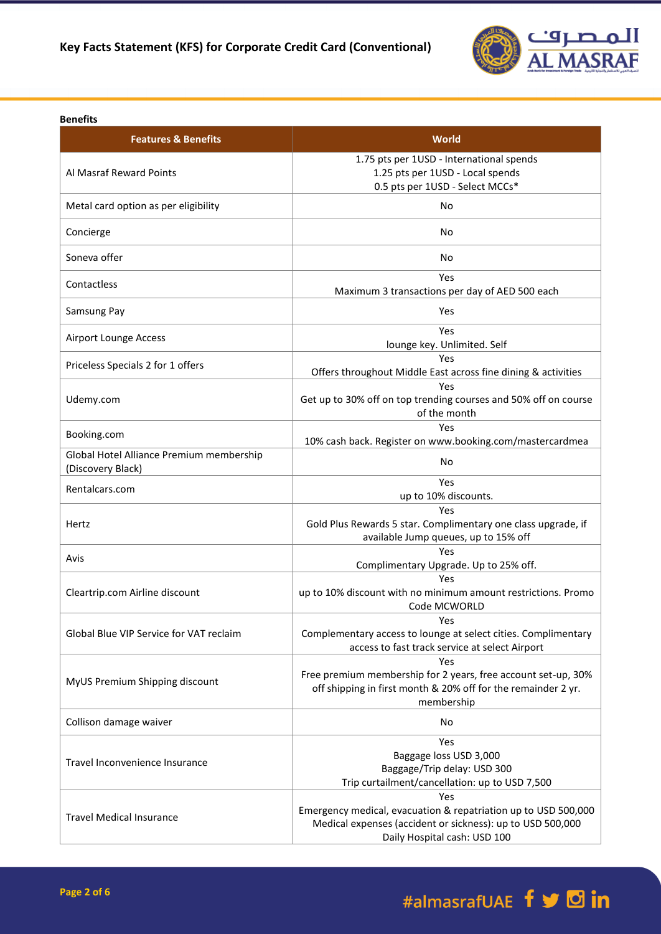

### **Benefits**

| <b>Features &amp; Benefits</b>                                | <b>World</b>                                                                                                                                                        |
|---------------------------------------------------------------|---------------------------------------------------------------------------------------------------------------------------------------------------------------------|
| Al Masraf Reward Points                                       | 1.75 pts per 1USD - International spends<br>1.25 pts per 1USD - Local spends<br>0.5 pts per 1USD - Select MCCs*                                                     |
| Metal card option as per eligibility                          | No                                                                                                                                                                  |
| Concierge                                                     | No                                                                                                                                                                  |
| Soneva offer                                                  | No                                                                                                                                                                  |
| Contactless                                                   | Yes<br>Maximum 3 transactions per day of AED 500 each                                                                                                               |
| Samsung Pay                                                   | Yes                                                                                                                                                                 |
| <b>Airport Lounge Access</b>                                  | Yes<br>lounge key. Unlimited. Self                                                                                                                                  |
| Priceless Specials 2 for 1 offers                             | Yes<br>Offers throughout Middle East across fine dining & activities                                                                                                |
| Udemy.com                                                     | Yes<br>Get up to 30% off on top trending courses and 50% off on course<br>of the month                                                                              |
| Booking.com                                                   | Yes<br>10% cash back. Register on www.booking.com/mastercardmea                                                                                                     |
| Global Hotel Alliance Premium membership<br>(Discovery Black) | No                                                                                                                                                                  |
| Rentalcars.com                                                | Yes<br>up to 10% discounts.                                                                                                                                         |
| Hertz                                                         | Yes<br>Gold Plus Rewards 5 star. Complimentary one class upgrade, if<br>available Jump queues, up to 15% off                                                        |
| Avis                                                          | Yes<br>Complimentary Upgrade. Up to 25% off.                                                                                                                        |
| Cleartrip.com Airline discount                                | Yes<br>up to 10% discount with no minimum amount restrictions. Promo<br>Code MCWORLD                                                                                |
| Global Blue VIP Service for VAT reclaim                       | Yes<br>Complementary access to lounge at select cities. Complimentary<br>access to fast track service at select Airport                                             |
| MyUS Premium Shipping discount                                | Yes<br>Free premium membership for 2 years, free account set-up, 30%<br>off shipping in first month & 20% off for the remainder 2 yr.<br>membership                 |
| Collison damage waiver                                        | No                                                                                                                                                                  |
| Travel Inconvenience Insurance                                | Yes<br>Baggage loss USD 3,000<br>Baggage/Trip delay: USD 300<br>Trip curtailment/cancellation: up to USD 7,500                                                      |
| <b>Travel Medical Insurance</b>                               | Yes<br>Emergency medical, evacuation & repatriation up to USD 500,000<br>Medical expenses (accident or sickness): up to USD 500,000<br>Daily Hospital cash: USD 100 |

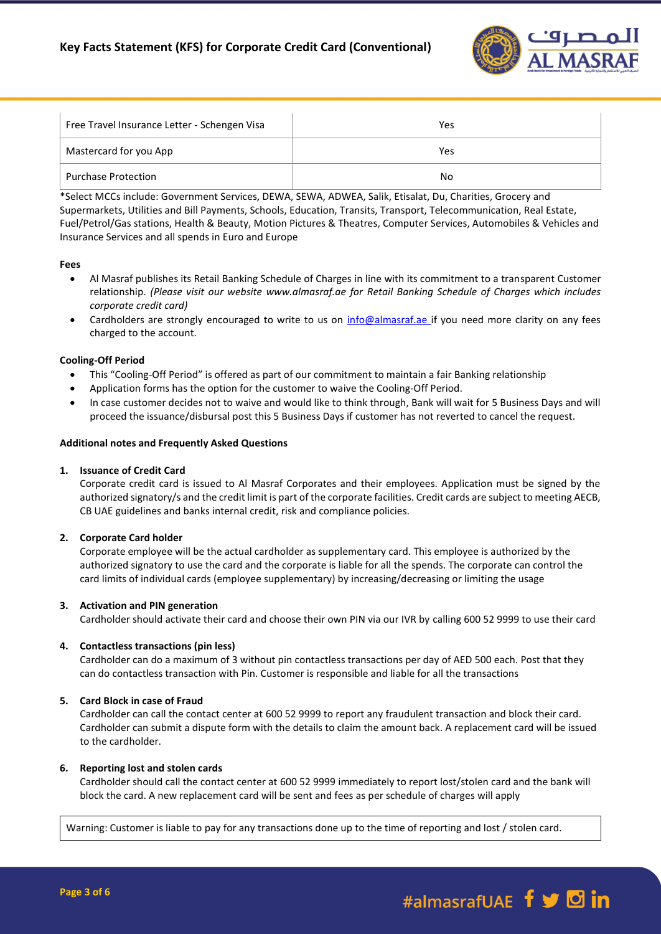

| Free Travel Insurance Letter - Schengen Visa | Yes |
|----------------------------------------------|-----|
| Mastercard for you App                       | Yes |
| <b>Purchase Protection</b>                   | No. |

\*Select MCCs include: Government Services, DEWA, SEWA, ADWEA, Salik, Etisalat, Du, Charities, Grocery and Supermarkets, Utilities and Bill Payments, Schools, Education, Transits, Transport, Telecommunication, Real Estate, Fuel/Petrol/Gas stations, Health & Beauty, Motion Pictures & Theatres, Computer Services, Automobiles & Vehicles and Insurance Services and all spends in Euro and Europe

### **Fees**

- Al Masraf publishes its Retail Banking Schedule of Charges in line with its commitment to a transparent Customer relationship. *(Please visit our website www.almasraf.ae for Retail Banking Schedule of Charges which includes corporate credit card)*
- Cardholders are strongly encouraged to write to us on [info@almasraf.ae](mailto:info@almasraf.ae) if you need more clarity on any fees charged to the account.

# **Cooling-Off Period**

- This "Cooling-Off Period" is offered as part of our commitment to maintain a fair Banking relationship
- Application forms has the option for the customer to waive the Cooling-Off Period.
- In case customer decides not to waive and would like to think through, Bank will wait for 5 Business Days and will proceed the issuance/disbursal post this 5 Business Days if customer has not reverted to cancel the request.

# **Additional notes and Frequently Asked Questions**

# **1. Issuance of Credit Card**

Corporate credit card is issued to Al Masraf Corporates and their employees. Application must be signed by the authorized signatory/s and the credit limit is part of the corporate facilities. Credit cards are subject to meeting AECB, CB UAE guidelines and banks internal credit, risk and compliance policies.

# **2. Corporate Card holder**

Corporate employee will be the actual cardholder as supplementary card. This employee is authorized by the authorized signatory to use the card and the corporate is liable for all the spends. The corporate can control the card limits of individual cards (employee supplementary) by increasing/decreasing or limiting the usage

# **3. Activation and PIN generation**

Cardholder should activate their card and choose their own PIN via our IVR by calling 600 52 9999 to use their card

# **4. Contactless transactions (pin less)**

Cardholder can do a maximum of 3 without pin contactless transactions per day of AED 500 each. Post that they can do contactless transaction with Pin. Customer is responsible and liable for all the transactions

# **5. Card Block in case of Fraud**

Cardholder can call the contact center at 600 52 9999 to report any fraudulent transaction and block their card. Cardholder can submit a dispute form with the details to claim the amount back. A replacement card will be issued to the cardholder.

# **6. Reporting lost and stolen cards**

Cardholder should call the contact center at 600 52 9999 immediately to report lost/stolen card and the bank will block the card. A new replacement card will be sent and fees as per schedule of charges will apply

Warning: Customer is liable to pay for any transactions done up to the time of reporting and lost / stolen card.

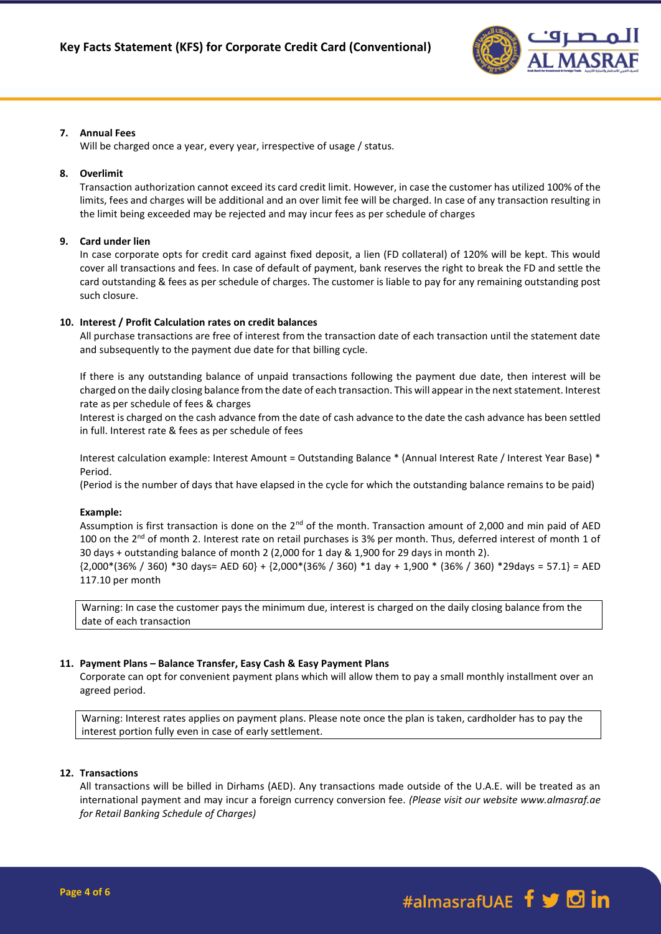

# **7. Annual Fees**

Will be charged once a year, every year, irrespective of usage / status.

# **8. Overlimit**

Transaction authorization cannot exceed its card credit limit. However, in case the customer has utilized 100% of the limits, fees and charges will be additional and an over limit fee will be charged. In case of any transaction resulting in the limit being exceeded may be rejected and may incur fees as per schedule of charges

# **9. Card under lien**

In case corporate opts for credit card against fixed deposit, a lien (FD collateral) of 120% will be kept. This would cover all transactions and fees. In case of default of payment, bank reserves the right to break the FD and settle the card outstanding & fees as per schedule of charges. The customer is liable to pay for any remaining outstanding post such closure.

# **10. Interest / Profit Calculation rates on credit balances**

All purchase transactions are free of interest from the transaction date of each transaction until the statement date and subsequently to the payment due date for that billing cycle.

If there is any outstanding balance of unpaid transactions following the payment due date, then interest will be charged on the daily closing balance from the date of each transaction. This will appear in the next statement. Interest rate as per schedule of fees & charges

Interest is charged on the cash advance from the date of cash advance to the date the cash advance has been settled in full. Interest rate & fees as per schedule of fees

Interest calculation example: Interest Amount = Outstanding Balance \* (Annual Interest Rate / Interest Year Base) \* Period.

(Period is the number of days that have elapsed in the cycle for which the outstanding balance remains to be paid)

# **Example:**

Assumption is first transaction is done on the 2<sup>nd</sup> of the month. Transaction amount of 2,000 and min paid of AED 100 on the  $2^{nd}$  of month 2. Interest rate on retail purchases is 3% per month. Thus, deferred interest of month 1 of 30 days + outstanding balance of month 2 (2,000 for 1 day & 1,900 for 29 days in month 2).

{2,000\*(36% / 360) \*30 days= AED 60} + {2,000\*(36% / 360) \*1 day + 1,900 \* (36% / 360) \*29days = 57.1} = AED 117.10 per month

Warning: In case the customer pays the minimum due, interest is charged on the daily closing balance from the date of each transaction

# **11. Payment Plans – Balance Transfer, Easy Cash & Easy Payment Plans**

Corporate can opt for convenient payment plans which will allow them to pay a small monthly installment over an agreed period.

Warning: Interest rates applies on payment plans. Please note once the plan is taken, cardholder has to pay the interest portion fully even in case of early settlement.

# **12. Transactions**

All transactions will be billed in Dirhams (AED). Any transactions made outside of the U.A.E. will be treated as an international payment and may incur a foreign currency conversion fee. *(Please visit our website www.almasraf.ae for Retail Banking Schedule of Charges)*

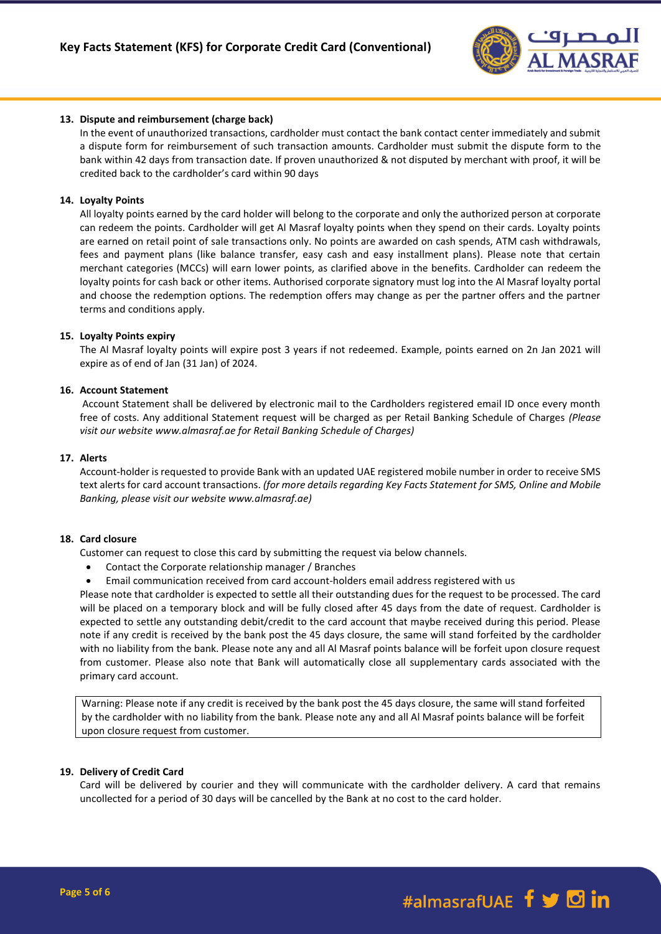

### **13. Dispute and reimbursement (charge back)**

In the event of unauthorized transactions, cardholder must contact the bank contact center immediately and submit a dispute form for reimbursement of such transaction amounts. Cardholder must submit the dispute form to the bank within 42 days from transaction date. If proven unauthorized & not disputed by merchant with proof, it will be credited back to the cardholder's card within 90 days

#### **14. Loyalty Points**

All loyalty points earned by the card holder will belong to the corporate and only the authorized person at corporate can redeem the points. Cardholder will get Al Masraf loyalty points when they spend on their cards. Loyalty points are earned on retail point of sale transactions only. No points are awarded on cash spends, ATM cash withdrawals, fees and payment plans (like balance transfer, easy cash and easy installment plans). Please note that certain merchant categories (MCCs) will earn lower points, as clarified above in the benefits. Cardholder can redeem the loyalty points for cash back or other items. Authorised corporate signatory must log into the Al Masraf loyalty portal and choose the redemption options. The redemption offers may change as per the partner offers and the partner terms and conditions apply.

#### **15. Loyalty Points expiry**

The Al Masraf loyalty points will expire post 3 years if not redeemed. Example, points earned on 2n Jan 2021 will expire as of end of Jan (31 Jan) of 2024.

### **16. Account Statement**

Account Statement shall be delivered by electronic mail to the Cardholders registered email ID once every month free of costs. Any additional Statement request will be charged as per Retail Banking Schedule of Charges *(Please visit our website www.almasraf.ae for Retail Banking Schedule of Charges)*

#### **17. Alerts**

Account-holder is requested to provide Bank with an updated UAE registered mobile number in order to receive SMS text alerts for card account transactions. *(for more details regarding Key Facts Statement for SMS, Online and Mobile Banking, please visit our website www.almasraf.ae)*

# **18. Card closure**

Customer can request to close this card by submitting the request via below channels.

- Contact the Corporate relationship manager / Branches
- Email communication received from card account-holders email address registered with us

Please note that cardholder is expected to settle all their outstanding dues for the request to be processed. The card will be placed on a temporary block and will be fully closed after 45 days from the date of request. Cardholder is expected to settle any outstanding debit/credit to the card account that maybe received during this period. Please note if any credit is received by the bank post the 45 days closure, the same will stand forfeited by the cardholder with no liability from the bank. Please note any and all Al Masraf points balance will be forfeit upon closure request from customer. Please also note that Bank will automatically close all supplementary cards associated with the primary card account.

Warning: Please note if any credit is received by the bank post the 45 days closure, the same will stand forfeited by the cardholder with no liability from the bank. Please note any and all Al Masraf points balance will be forfeit upon closure request from customer.

#### **19. Delivery of Credit Card**

Card will be delivered by courier and they will communicate with the cardholder delivery. A card that remains uncollected for a period of 30 days will be cancelled by the Bank at no cost to the card holder.